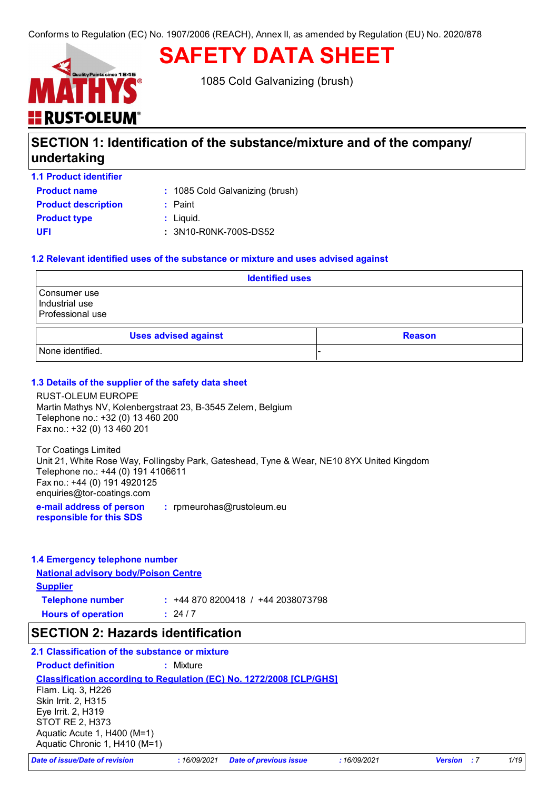# <mark>: RUST<sup>.</sup>OLEUM</mark>

1085 Cold Galvanizing (brush)

**SAFETY DATA SHEET**

## **SECTION 1: Identification of the substance/mixture and of the company/ undertaking**

**1.1 Product identifier**

**Product name** : 1085 Cold Galvanizing (brush)

| <b>Product description</b> | : Paint               |
|----------------------------|-----------------------|
| <b>Product type</b>        | : Liguid.             |
| UFI                        | : 3N10-R0NK-700S-DS52 |

## **1.2 Relevant identified uses of the substance or mixture and uses advised against**

| <b>Identified uses</b>                             |  |  |
|----------------------------------------------------|--|--|
| Consumer use<br>Industrial use<br>Professional use |  |  |
| <b>Uses advised against</b><br><b>Reason</b>       |  |  |
| None identified.                                   |  |  |

## **1.3 Details of the supplier of the safety data sheet**

RUST-OLEUM EUROPE Martin Mathys NV, Kolenbergstraat 23, B-3545 Zelem, Belgium Telephone no.: +32 (0) 13 460 200 Fax no.: +32 (0) 13 460 201

Tor Coatings Limited Unit 21, White Rose Way, Follingsby Park, Gateshead, Tyne & Wear, NE10 8YX United Kingdom Telephone no.: +44 (0) 191 4106611 Fax no.: +44 (0) 191 4920125 enquiries@tor-coatings.com

**e-mail address of person responsible for this SDS :** rpmeurohas@rustoleum.eu

## **1.4 Emergency telephone number**

**National advisory body/Poison Centre Supplier Telephone number :** +44 870 8200418 / +44 2038073798  $: 24/7$ 

**Hours of operation :**

## **SECTION 2: Hazards identification**

## **2.1 Classification of the substance or mixture**

**Product definition :** Mixture

**Classification according to Regulation (EC) No. 1272/2008 [CLP/GHS]**

Flam. Liq. 3, H226 Skin Irrit. 2, H315 Eye Irrit. 2, H319 STOT RE 2, H373 Aquatic Acute 1, H400 (M=1) Aquatic Chronic 1, H410 (M=1)

*Date of issue/Date of revision* **:** *16/09/2021 Date of previous issue : 16/09/2021 Version : 7 1/19*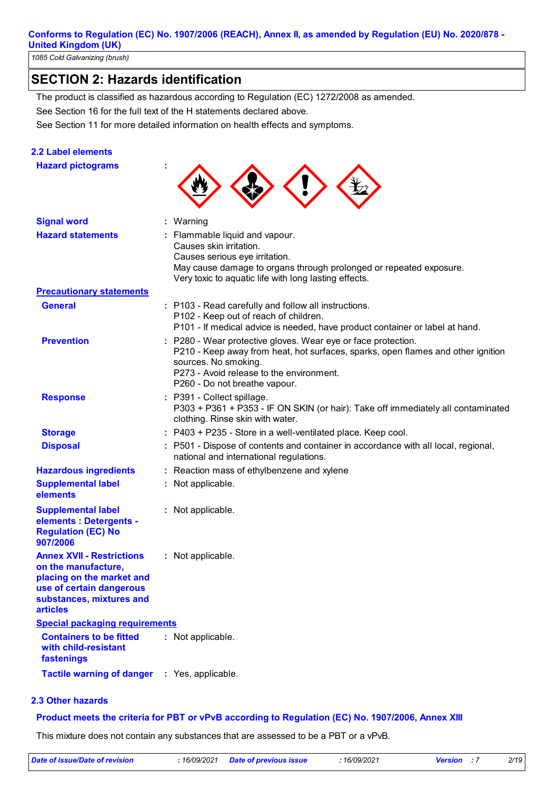*1085 Cold Galvanizing (brush)*

## **SECTION 2: Hazards identification**

See Section 16 for the full text of the H statements declared above. The product is classified as hazardous according to Regulation (EC) 1272/2008 as amended.

See Section 11 for more detailed information on health effects and symptoms.

## **2.2 Label elements**

**Hazard pictograms : Signal word : Hazard statements : Prevention : Precautionary statements Response : Storage : Disposal :** : Warning : Flammable liquid and vapour. Causes skin irritation. Causes serious eye irritation. May cause damage to organs through prolonged or repeated exposure. Very toxic to aquatic life with long lasting effects. P280 - Wear protective gloves. Wear eye or face protection. P210 - Keep away from heat, hot surfaces, sparks, open flames and other ignition sources. No smoking. P273 - Avoid release to the environment. P260 - Do not breathe vapour. P391 - Collect spillage. P303 + P361 + P353 - IF ON SKIN (or hair): Take off immediately all contaminated clothing. Rinse skin with water. P403 + P235 - Store in a well-ventilated place. Keep cool. : P501 - Dispose of contents and container in accordance with all local, regional, national and international regulations. **Supplemental label elements Containers to be fitted with child-resistant fastenings :** Not applicable. **Tactile warning of danger** : Yes, applicable. **:** Not applicable. **Special packaging requirements Hazardous ingredients :** Reaction mass of ethylbenzene and xylene **General :** P103 - Read carefully and follow all instructions. P102 - Keep out of reach of children. P101 - If medical advice is needed, have product container or label at hand. **Annex XVII - Restrictions on the manufacture, placing on the market and use of certain dangerous substances, mixtures and articles :** Not applicable. **Supplemental label elements : Detergents - Regulation (EC) No 907/2006 :** Not applicable.

## **2.3 Other hazards**

#### **Product meets the criteria for PBT or vPvB according to Regulation (EC) No. 1907/2006, Annex XIII**

This mixture does not contain any substances that are assessed to be a PBT or a vPvB.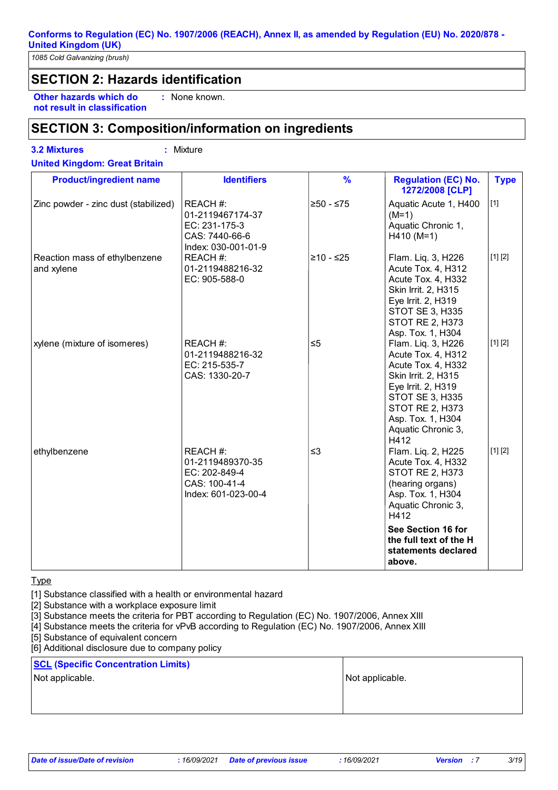*1085 Cold Galvanizing (brush)*

## **SECTION 2: Hazards identification**

**Other hazards which do : not result in classification** : None known.

## **SECTION 3: Composition/information on ingredients**

**3.2 Mixtures :** Mixture

**United Kingdom: Great Britain**

| <b>Product/ingredient name</b>              | <b>Identifiers</b>                                                                     | $\frac{9}{6}$ | <b>Regulation (EC) No.</b><br>1272/2008 [CLP]                                                                                                                                                                       | <b>Type</b> |
|---------------------------------------------|----------------------------------------------------------------------------------------|---------------|---------------------------------------------------------------------------------------------------------------------------------------------------------------------------------------------------------------------|-------------|
| Zinc powder - zinc dust (stabilized)        | REACH #:<br>01-2119467174-37<br>EC: 231-175-3<br>CAS: 7440-66-6<br>Index: 030-001-01-9 | $≥50 - ≤75$   | Aquatic Acute 1, H400<br>$(M=1)$<br>Aquatic Chronic 1,<br>$H410 (M=1)$                                                                                                                                              | $[1]$       |
| Reaction mass of ethylbenzene<br>and xylene | REACH #:<br>01-2119488216-32<br>EC: 905-588-0                                          | $≥10 - ≤25$   | Flam. Liq. 3, H226<br>Acute Tox. 4, H312<br>Acute Tox. 4, H332<br>Skin Irrit. 2, H315<br>Eye Irrit. 2, H319<br><b>STOT SE 3, H335</b><br><b>STOT RE 2, H373</b><br>Asp. Tox. 1, H304                                | [1] [2]     |
| xylene (mixture of isomeres)                | REACH #:<br>01-2119488216-32<br>EC: 215-535-7<br>CAS: 1330-20-7                        | $\leq 5$      | Flam. Liq. 3, H226<br>Acute Tox. 4, H312<br>Acute Tox. 4, H332<br>Skin Irrit. 2, H315<br>Eye Irrit. 2, H319<br>STOT SE 3, H335<br><b>STOT RE 2, H373</b><br>Asp. Tox. 1, H304<br>Aquatic Chronic 3,<br>H412         | [1] [2]     |
| ethylbenzene                                | REACH #:<br>01-2119489370-35<br>EC: 202-849-4<br>CAS: 100-41-4<br>Index: 601-023-00-4  | $\leq$ 3      | Flam. Liq. 2, H225<br>Acute Tox. 4, H332<br>STOT RE 2, H373<br>(hearing organs)<br>Asp. Tox. 1, H304<br>Aquatic Chronic 3,<br>H412<br>See Section 16 for<br>the full text of the H<br>statements declared<br>above. | [1] [2]     |

#### Type

[1] Substance classified with a health or environmental hazard

[2] Substance with a workplace exposure limit

[3] Substance meets the criteria for PBT according to Regulation (EC) No. 1907/2006, Annex XIII

[4] Substance meets the criteria for vPvB according to Regulation (EC) No. 1907/2006, Annex XIII

[5] Substance of equivalent concern

[6] Additional disclosure due to company policy

## **SCL (Specific Concentration Limits)**

Not applicable. Not applicable.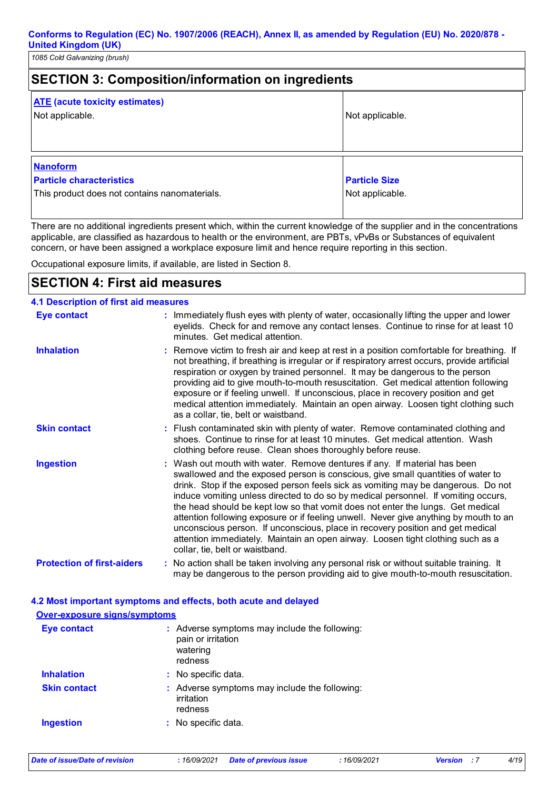| <b>SECTION 3: Composition/information on ingredients</b>                                            |                                         |  |
|-----------------------------------------------------------------------------------------------------|-----------------------------------------|--|
| <b>ATE</b> (acute toxicity estimates)<br>Not applicable.                                            | Not applicable.                         |  |
| <b>Nanoform</b><br><b>Particle characteristics</b><br>This product does not contains nanomaterials. | <b>Particle Size</b><br>Not applicable. |  |

There are no additional ingredients present which, within the current knowledge of the supplier and in the concentrations applicable, are classified as hazardous to health or the environment, are PBTs, vPvBs or Substances of equivalent concern, or have been assigned a workplace exposure limit and hence require reporting in this section.

Occupational exposure limits, if available, are listed in Section 8.

## **SECTION 4: First aid measures**

| <b>4.1 Description of first aid measures</b> |                                                                                                                                                                                                                                                                                                                                                                                                                                                                                                                                                                                                                                                                                                                              |
|----------------------------------------------|------------------------------------------------------------------------------------------------------------------------------------------------------------------------------------------------------------------------------------------------------------------------------------------------------------------------------------------------------------------------------------------------------------------------------------------------------------------------------------------------------------------------------------------------------------------------------------------------------------------------------------------------------------------------------------------------------------------------------|
| <b>Eye contact</b>                           | : Immediately flush eyes with plenty of water, occasionally lifting the upper and lower<br>eyelids. Check for and remove any contact lenses. Continue to rinse for at least 10<br>minutes. Get medical attention.                                                                                                                                                                                                                                                                                                                                                                                                                                                                                                            |
| <b>Inhalation</b>                            | : Remove victim to fresh air and keep at rest in a position comfortable for breathing. If<br>not breathing, if breathing is irregular or if respiratory arrest occurs, provide artificial<br>respiration or oxygen by trained personnel. It may be dangerous to the person<br>providing aid to give mouth-to-mouth resuscitation. Get medical attention following<br>exposure or if feeling unwell. If unconscious, place in recovery position and get<br>medical attention immediately. Maintain an open airway. Loosen tight clothing such<br>as a collar, tie, belt or waistband.                                                                                                                                         |
| <b>Skin contact</b>                          | : Flush contaminated skin with plenty of water. Remove contaminated clothing and<br>shoes. Continue to rinse for at least 10 minutes. Get medical attention. Wash<br>clothing before reuse. Clean shoes thoroughly before reuse.                                                                                                                                                                                                                                                                                                                                                                                                                                                                                             |
| <b>Ingestion</b>                             | : Wash out mouth with water. Remove dentures if any. If material has been<br>swallowed and the exposed person is conscious, give small quantities of water to<br>drink. Stop if the exposed person feels sick as vomiting may be dangerous. Do not<br>induce vomiting unless directed to do so by medical personnel. If vomiting occurs,<br>the head should be kept low so that vomit does not enter the lungs. Get medical<br>attention following exposure or if feeling unwell. Never give anything by mouth to an<br>unconscious person. If unconscious, place in recovery position and get medical<br>attention immediately. Maintain an open airway. Loosen tight clothing such as a<br>collar, tie, belt or waistband. |
| <b>Protection of first-aiders</b>            | : No action shall be taken involving any personal risk or without suitable training. It<br>may be dangerous to the person providing aid to give mouth-to-mouth resuscitation.                                                                                                                                                                                                                                                                                                                                                                                                                                                                                                                                                |

## **4.2 Most important symptoms and effects, both acute and delayed Over-exposure signs/symptoms**

| <b>Eye contact</b>  | : Adverse symptoms may include the following:<br>pain or irritation<br>watering<br>redness |
|---------------------|--------------------------------------------------------------------------------------------|
| <b>Inhalation</b>   | : No specific data.                                                                        |
| <b>Skin contact</b> | : Adverse symptoms may include the following:<br>irritation<br>redness                     |
| <b>Ingestion</b>    | : No specific data.                                                                        |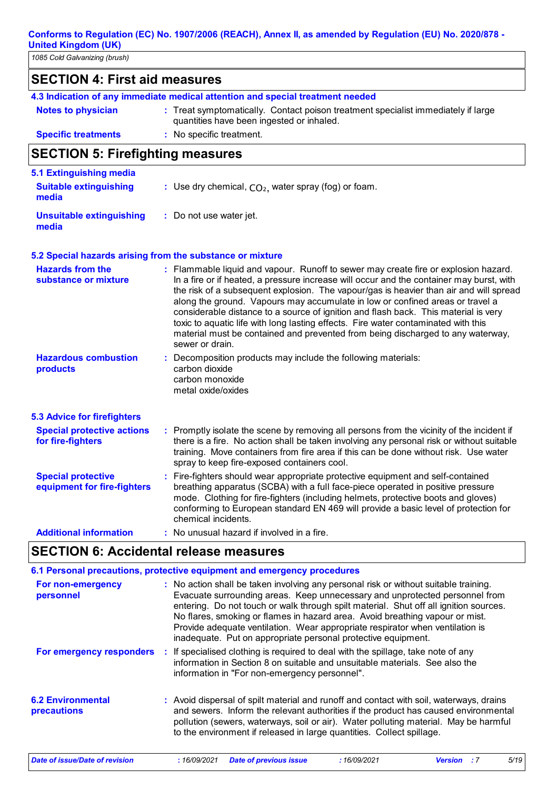| 1085 Cold Galvanizing (brush)                            |                                                                                                                                                                                                                                                                                                                                                                                                                                                                                                                                                                                                                                               |  |  |
|----------------------------------------------------------|-----------------------------------------------------------------------------------------------------------------------------------------------------------------------------------------------------------------------------------------------------------------------------------------------------------------------------------------------------------------------------------------------------------------------------------------------------------------------------------------------------------------------------------------------------------------------------------------------------------------------------------------------|--|--|
| <b>SECTION 4: First aid measures</b>                     |                                                                                                                                                                                                                                                                                                                                                                                                                                                                                                                                                                                                                                               |  |  |
|                                                          | 4.3 Indication of any immediate medical attention and special treatment needed                                                                                                                                                                                                                                                                                                                                                                                                                                                                                                                                                                |  |  |
| <b>Notes to physician</b>                                | : Treat symptomatically. Contact poison treatment specialist immediately if large<br>quantities have been ingested or inhaled.                                                                                                                                                                                                                                                                                                                                                                                                                                                                                                                |  |  |
| <b>Specific treatments</b>                               | : No specific treatment.                                                                                                                                                                                                                                                                                                                                                                                                                                                                                                                                                                                                                      |  |  |
| <b>SECTION 5: Firefighting measures</b>                  |                                                                                                                                                                                                                                                                                                                                                                                                                                                                                                                                                                                                                                               |  |  |
| 5.1 Extinguishing media                                  |                                                                                                                                                                                                                                                                                                                                                                                                                                                                                                                                                                                                                                               |  |  |
| <b>Suitable extinguishing</b><br>media                   | : Use dry chemical, $CO2$ , water spray (fog) or foam.                                                                                                                                                                                                                                                                                                                                                                                                                                                                                                                                                                                        |  |  |
| <b>Unsuitable extinguishing</b><br>media                 | : Do not use water jet.                                                                                                                                                                                                                                                                                                                                                                                                                                                                                                                                                                                                                       |  |  |
|                                                          | 5.2 Special hazards arising from the substance or mixture                                                                                                                                                                                                                                                                                                                                                                                                                                                                                                                                                                                     |  |  |
| <b>Hazards from the</b><br>substance or mixture          | : Flammable liquid and vapour. Runoff to sewer may create fire or explosion hazard.<br>In a fire or if heated, a pressure increase will occur and the container may burst, with<br>the risk of a subsequent explosion. The vapour/gas is heavier than air and will spread<br>along the ground. Vapours may accumulate in low or confined areas or travel a<br>considerable distance to a source of ignition and flash back. This material is very<br>toxic to aquatic life with long lasting effects. Fire water contaminated with this<br>material must be contained and prevented from being discharged to any waterway,<br>sewer or drain. |  |  |
| <b>Hazardous combustion</b><br>products                  | : Decomposition products may include the following materials:<br>carbon dioxide<br>carbon monoxide<br>metal oxide/oxides                                                                                                                                                                                                                                                                                                                                                                                                                                                                                                                      |  |  |
| <b>5.3 Advice for firefighters</b>                       |                                                                                                                                                                                                                                                                                                                                                                                                                                                                                                                                                                                                                                               |  |  |
| <b>Special protective actions</b><br>for fire-fighters   | : Promptly isolate the scene by removing all persons from the vicinity of the incident if<br>there is a fire. No action shall be taken involving any personal risk or without suitable<br>training. Move containers from fire area if this can be done without risk. Use water<br>spray to keep fire-exposed containers cool.                                                                                                                                                                                                                                                                                                                 |  |  |
| <b>Special protective</b><br>equipment for fire-fighters | : Fire-fighters should wear appropriate protective equipment and self-contained<br>breathing apparatus (SCBA) with a full face-piece operated in positive pressure<br>mode. Clothing for fire-fighters (including helmets, protective boots and gloves)                                                                                                                                                                                                                                                                                                                                                                                       |  |  |

## **Additional information :** No unusual hazard if involved in a fire.

**SECTION 6: Accidental release measures**

chemical incidents.

|                                                | 6.1 Personal precautions, protective equipment and emergency procedures                                                                                                                                                                                                                                                                                                                                                                                                                        |
|------------------------------------------------|------------------------------------------------------------------------------------------------------------------------------------------------------------------------------------------------------------------------------------------------------------------------------------------------------------------------------------------------------------------------------------------------------------------------------------------------------------------------------------------------|
| For non-emergency<br>personnel                 | : No action shall be taken involving any personal risk or without suitable training.<br>Evacuate surrounding areas. Keep unnecessary and unprotected personnel from<br>entering. Do not touch or walk through spilt material. Shut off all ignition sources.<br>No flares, smoking or flames in hazard area. Avoid breathing vapour or mist.<br>Provide adequate ventilation. Wear appropriate respirator when ventilation is<br>inadequate. Put on appropriate personal protective equipment. |
| For emergency responders                       | : If specialised clothing is required to deal with the spillage, take note of any<br>information in Section 8 on suitable and unsuitable materials. See also the<br>information in "For non-emergency personnel".                                                                                                                                                                                                                                                                              |
| <b>6.2 Environmental</b><br><b>precautions</b> | : Avoid dispersal of spilt material and runoff and contact with soil, waterways, drains<br>and sewers. Inform the relevant authorities if the product has caused environmental<br>pollution (sewers, waterways, soil or air). Water polluting material. May be harmful<br>to the environment if released in large quantities. Collect spillage.                                                                                                                                                |

conforming to European standard EN 469 will provide a basic level of protection for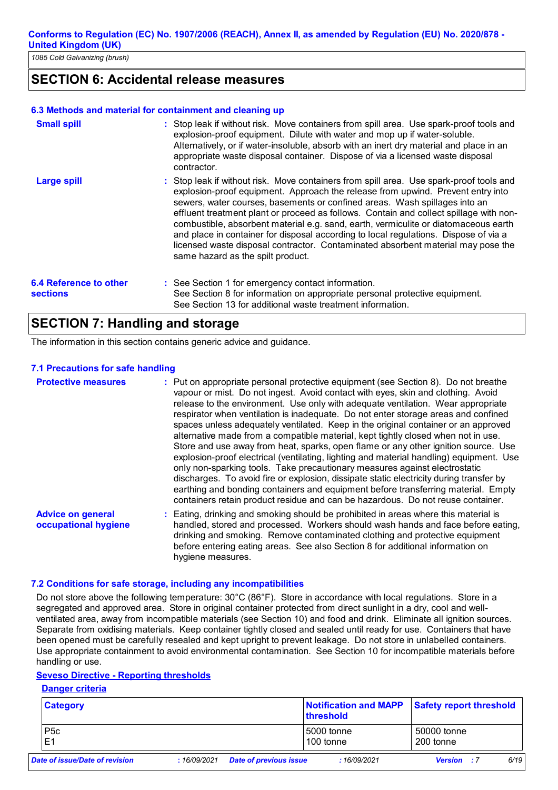## **SECTION 6: Accidental release measures**

#### **6.3 Methods and material for containment and cleaning up**

| <b>Small spill</b>                        | : Stop leak if without risk. Move containers from spill area. Use spark-proof tools and<br>explosion-proof equipment. Dilute with water and mop up if water-soluble.<br>Alternatively, or if water-insoluble, absorb with an inert dry material and place in an<br>appropriate waste disposal container. Dispose of via a licensed waste disposal<br>contractor.                                                                                                                                                                                                                                                                                           |
|-------------------------------------------|------------------------------------------------------------------------------------------------------------------------------------------------------------------------------------------------------------------------------------------------------------------------------------------------------------------------------------------------------------------------------------------------------------------------------------------------------------------------------------------------------------------------------------------------------------------------------------------------------------------------------------------------------------|
| <b>Large spill</b>                        | : Stop leak if without risk. Move containers from spill area. Use spark-proof tools and<br>explosion-proof equipment. Approach the release from upwind. Prevent entry into<br>sewers, water courses, basements or confined areas. Wash spillages into an<br>effluent treatment plant or proceed as follows. Contain and collect spillage with non-<br>combustible, absorbent material e.g. sand, earth, vermiculite or diatomaceous earth<br>and place in container for disposal according to local regulations. Dispose of via a<br>licensed waste disposal contractor. Contaminated absorbent material may pose the<br>same hazard as the spilt product. |
| 6.4 Reference to other<br><b>sections</b> | : See Section 1 for emergency contact information.<br>See Section 8 for information on appropriate personal protective equipment.<br>See Section 13 for additional waste treatment information.                                                                                                                                                                                                                                                                                                                                                                                                                                                            |

## **SECTION 7: Handling and storage**

The information in this section contains generic advice and guidance.

#### **7.1 Precautions for safe handling**

| <b>Protective measures</b>                       | : Put on appropriate personal protective equipment (see Section 8). Do not breathe<br>vapour or mist. Do not ingest. Avoid contact with eyes, skin and clothing. Avoid<br>release to the environment. Use only with adequate ventilation. Wear appropriate<br>respirator when ventilation is inadequate. Do not enter storage areas and confined<br>spaces unless adequately ventilated. Keep in the original container or an approved<br>alternative made from a compatible material, kept tightly closed when not in use.<br>Store and use away from heat, sparks, open flame or any other ignition source. Use<br>explosion-proof electrical (ventilating, lighting and material handling) equipment. Use<br>only non-sparking tools. Take precautionary measures against electrostatic<br>discharges. To avoid fire or explosion, dissipate static electricity during transfer by<br>earthing and bonding containers and equipment before transferring material. Empty<br>containers retain product residue and can be hazardous. Do not reuse container. |
|--------------------------------------------------|---------------------------------------------------------------------------------------------------------------------------------------------------------------------------------------------------------------------------------------------------------------------------------------------------------------------------------------------------------------------------------------------------------------------------------------------------------------------------------------------------------------------------------------------------------------------------------------------------------------------------------------------------------------------------------------------------------------------------------------------------------------------------------------------------------------------------------------------------------------------------------------------------------------------------------------------------------------------------------------------------------------------------------------------------------------|
| <b>Advice on general</b><br>occupational hygiene | : Eating, drinking and smoking should be prohibited in areas where this material is<br>handled, stored and processed. Workers should wash hands and face before eating,<br>drinking and smoking. Remove contaminated clothing and protective equipment<br>before entering eating areas. See also Section 8 for additional information on<br>hygiene measures.                                                                                                                                                                                                                                                                                                                                                                                                                                                                                                                                                                                                                                                                                                 |

#### **7.2 Conditions for safe storage, including any incompatibilities**

Do not store above the following temperature: 30°C (86°F). Store in accordance with local regulations. Store in a segregated and approved area. Store in original container protected from direct sunlight in a dry, cool and wellventilated area, away from incompatible materials (see Section 10) and food and drink. Eliminate all ignition sources. Separate from oxidising materials. Keep container tightly closed and sealed until ready for use. Containers that have been opened must be carefully resealed and kept upright to prevent leakage. Do not store in unlabelled containers. Use appropriate containment to avoid environmental contamination. See Section 10 for incompatible materials before handling or use.

## **Seveso Directive - Reporting thresholds**

## **Danger criteria**

| <b>Category</b>               |             |                               | <b>Notification and MAPP</b><br><b>threshold</b> | <b>Safety report threshold</b> |
|-------------------------------|-------------|-------------------------------|--------------------------------------------------|--------------------------------|
| P <sub>5</sub> c              |             |                               | 5000 tonne                                       | 50000 tonne                    |
| E1                            |             |                               | 100 tonne                                        | 200 tonne                      |
| ate of issue/Date of revision | :16/09/2021 | <b>Date of previous issue</b> | :16/09/2021                                      | 6/19<br><b>Version</b> : 7     |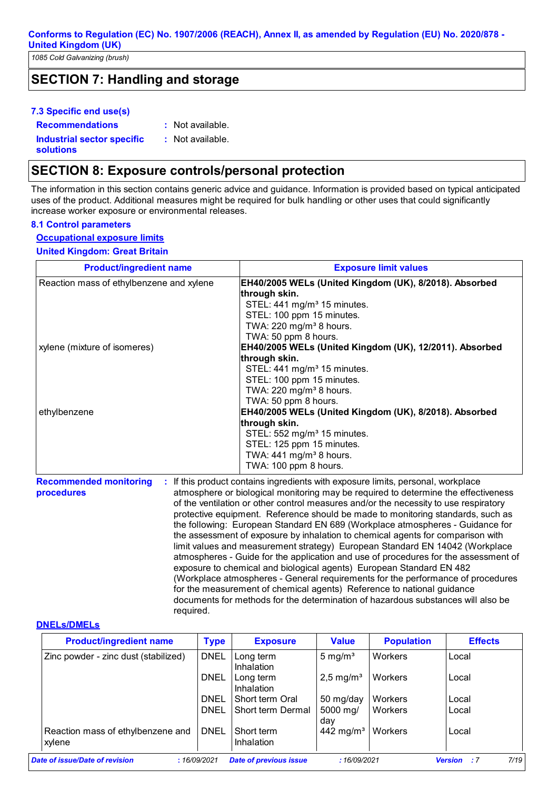*1085 Cold Galvanizing (brush)*

## **SECTION 7: Handling and storage**

## **7.3 Specific end use(s)**

**Recommendations :**

: Not available.

## **Industrial sector specific :**

**solutions**

: Not available.

## **SECTION 8: Exposure controls/personal protection**

The information in this section contains generic advice and guidance. Information is provided based on typical anticipated uses of the product. Additional measures might be required for bulk handling or other uses that could significantly increase worker exposure or environmental releases.

#### **8.1 Control parameters**

**Occupational exposure limits**

**United Kingdom: Great Britain**

| <b>Product/ingredient name</b>                                                                                                                                                                                                                                                                                                                                                                                                                                                    | <b>Exposure limit values</b>                                                                                                                                                                                                                                                                                                                                           |
|-----------------------------------------------------------------------------------------------------------------------------------------------------------------------------------------------------------------------------------------------------------------------------------------------------------------------------------------------------------------------------------------------------------------------------------------------------------------------------------|------------------------------------------------------------------------------------------------------------------------------------------------------------------------------------------------------------------------------------------------------------------------------------------------------------------------------------------------------------------------|
| Reaction mass of ethylbenzene and xylene                                                                                                                                                                                                                                                                                                                                                                                                                                          | EH40/2005 WELs (United Kingdom (UK), 8/2018). Absorbed<br>through skin.<br>STEL: 441 mg/m <sup>3</sup> 15 minutes.                                                                                                                                                                                                                                                     |
|                                                                                                                                                                                                                                                                                                                                                                                                                                                                                   | STEL: 100 ppm 15 minutes.<br>TWA: 220 mg/m <sup>3</sup> 8 hours.<br>TWA: 50 ppm 8 hours.<br>EH40/2005 WELs (United Kingdom (UK), 12/2011). Absorbed                                                                                                                                                                                                                    |
| xylene (mixture of isomeres)                                                                                                                                                                                                                                                                                                                                                                                                                                                      |                                                                                                                                                                                                                                                                                                                                                                        |
| ethylbenzene                                                                                                                                                                                                                                                                                                                                                                                                                                                                      | through skin.<br>STEL: 441 mg/m <sup>3</sup> 15 minutes.<br>STEL: 100 ppm 15 minutes.<br>TWA: 220 mg/m <sup>3</sup> 8 hours.<br>TWA: 50 ppm 8 hours.<br>EH40/2005 WELs (United Kingdom (UK), 8/2018). Absorbed<br>through skin.<br>STEL: 552 mg/m <sup>3</sup> 15 minutes.<br>STEL: 125 ppm 15 minutes.<br>TWA: $441 \text{ mg/m}^3$ 8 hours.<br>TWA: 100 ppm 8 hours. |
| : If this product contains ingredients with exposure limits, personal, workplace<br><b>Recommended monitoring</b><br>atmosphere or biological monitoring may be required to determine the effectiveness<br>procedures<br>of the ventilation or other control measures and/or the necessity to use respiratory<br>protective equipment. Reference should be made to monitoring standards, such as<br>the following: European Standard EN 689 (Workplace atmospheres - Guidance for |                                                                                                                                                                                                                                                                                                                                                                        |

the following: European Standard EN 689 (Workplace atmospheres - Guidance for the assessment of exposure by inhalation to chemical agents for comparison with limit values and measurement strategy) European Standard EN 14042 (Workplace atmospheres - Guide for the application and use of procedures for the assessment of exposure to chemical and biological agents) European Standard EN 482 (Workplace atmospheres - General requirements for the performance of procedures for the measurement of chemical agents) Reference to national guidance documents for methods for the determination of hazardous substances will also be required.

#### **DNELs/DMELs**

| <b>Product/ingredient name</b>              | <b>Type</b> | <b>Exposure</b>                | <b>Value</b>          | <b>Population</b> | <b>Effects</b>                |
|---------------------------------------------|-------------|--------------------------------|-----------------------|-------------------|-------------------------------|
| Zinc powder - zinc dust (stabilized)        | <b>DNEL</b> | Long term<br><b>Inhalation</b> | 5 mg/ $m3$            | Workers           | Local                         |
|                                             | <b>DNEL</b> | Long term<br><b>Inhalation</b> | $2,5 \text{ mg/m}^3$  | Workers           | Local                         |
|                                             | <b>DNEL</b> | Short term Oral                | 50 mg/day             | <b>Workers</b>    | Local                         |
|                                             | <b>DNEL</b> | Short term Dermal              | 5000 mg/<br>dav       | Workers           | Local                         |
| Reaction mass of ethylbenzene and<br>xylene | <b>DNEL</b> | Short term<br>Inhalation       | 442 mg/m <sup>3</sup> | Workers           | Local                         |
| Date of issue/Date of revision              | :16/09/2021 | <b>Date of previous issue</b>  | :16/09/2021           |                   | 7/19<br><b>Version</b><br>- 7 |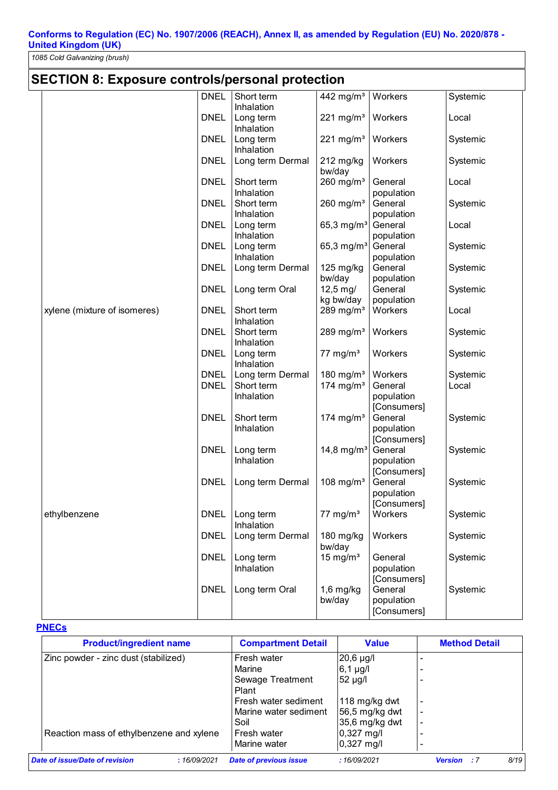*1085 Cold Galvanizing (brush)*

| <b>SECTION 8: Exposure controls/personal protection</b> |             |                         |                         |             |          |
|---------------------------------------------------------|-------------|-------------------------|-------------------------|-------------|----------|
|                                                         | <b>DNEL</b> | Short term              | 442 mg/m $3$            | Workers     | Systemic |
|                                                         |             | Inhalation              |                         |             |          |
|                                                         | <b>DNEL</b> | Long term               | 221 mg/ $m3$            | Workers     | Local    |
|                                                         |             | Inhalation              |                         |             |          |
|                                                         | <b>DNEL</b> | Long term               | $221$ mg/m <sup>3</sup> | Workers     | Systemic |
|                                                         |             | Inhalation              |                         |             |          |
|                                                         | <b>DNEL</b> | Long term Dermal        | $212$ mg/kg             | Workers     | Systemic |
|                                                         |             |                         | bw/day                  |             |          |
|                                                         | <b>DNEL</b> | Short term              | $260$ mg/m <sup>3</sup> | General     | Local    |
|                                                         |             | Inhalation              |                         | population  |          |
|                                                         | <b>DNEL</b> | Short term              | 260 mg/ $m3$            | General     | Systemic |
|                                                         |             | Inhalation              |                         | population  |          |
|                                                         | <b>DNEL</b> | Long term               | 65,3 mg/m <sup>3</sup>  | General     | Local    |
|                                                         |             | Inhalation              |                         | population  |          |
|                                                         | <b>DNEL</b> | Long term               | 65,3 mg/m <sup>3</sup>  | General     | Systemic |
|                                                         |             | Inhalation              |                         | population  |          |
|                                                         | <b>DNEL</b> | Long term Dermal        | $125$ mg/kg             | General     | Systemic |
|                                                         |             |                         | bw/day                  | population  |          |
|                                                         | <b>DNEL</b> | Long term Oral          | 12,5 mg/                | General     | Systemic |
|                                                         |             |                         | kg bw/day               | population  |          |
| xylene (mixture of isomeres)                            | <b>DNEL</b> | Short term              | 289 mg/ $m3$            | Workers     | Local    |
|                                                         |             | Inhalation              |                         |             |          |
|                                                         | <b>DNEL</b> | Short term              | 289 mg/ $m3$            | Workers     | Systemic |
|                                                         |             | Inhalation              |                         |             |          |
|                                                         | <b>DNEL</b> | Long term               | 77 mg/ $m3$             | Workers     | Systemic |
|                                                         |             | Inhalation              |                         |             |          |
|                                                         | <b>DNEL</b> | Long term Dermal        | 180 mg/ $m3$            | Workers     | Systemic |
|                                                         | <b>DNEL</b> | Short term              | 174 mg/m $3$            | General     | Local    |
|                                                         |             | Inhalation              |                         | population  |          |
|                                                         |             |                         |                         | [Consumers] |          |
|                                                         | <b>DNEL</b> | Short term              | 174 mg/m <sup>3</sup>   | General     | Systemic |
|                                                         |             | Inhalation              |                         | population  |          |
|                                                         |             |                         |                         | [Consumers] |          |
|                                                         | <b>DNEL</b> | Long term               | 14,8 mg/m <sup>3</sup>  | General     | Systemic |
|                                                         |             | Inhalation              |                         | population  |          |
|                                                         |             |                         |                         | [Consumers] |          |
|                                                         | <b>DNEL</b> | Long term Dermal        | 108 mg/m <sup>3</sup>   | General     | Systemic |
|                                                         |             |                         |                         | population  |          |
|                                                         |             |                         |                         | [Consumers] |          |
| ethylbenzene                                            | <b>DNEL</b> | Long term<br>Inhalation | $77$ mg/m <sup>3</sup>  | Workers     | Systemic |
|                                                         |             |                         |                         | Workers     |          |
|                                                         | <b>DNEL</b> | Long term Dermal        | 180 mg/kg               |             | Systemic |
|                                                         | <b>DNEL</b> | Long term               | bw/day<br>15 mg/ $m3$   | General     | Systemic |
|                                                         |             | Inhalation              |                         | population  |          |
|                                                         |             |                         |                         | [Consumers] |          |
|                                                         | <b>DNEL</b> | Long term Oral          | $1,6$ mg/kg             | General     | Systemic |
|                                                         |             |                         | bw/day                  | population  |          |
|                                                         |             |                         |                         | [Consumers] |          |
|                                                         |             |                         |                         |             |          |

## **PNECs**

| <b>Product/ingredient name</b>                | <b>Compartment Detail</b>     | <b>Value</b>   | <b>Method Detail</b>            |
|-----------------------------------------------|-------------------------------|----------------|---------------------------------|
| Zinc powder - zinc dust (stabilized)          | Fresh water                   | $20,6$ µg/l    |                                 |
|                                               | Marine                        | 6,1 µg/l       |                                 |
|                                               | Sewage Treatment              | 52 µg/l        |                                 |
|                                               | Plant                         |                |                                 |
|                                               | Fresh water sediment          | 118 mg/kg dwt  |                                 |
|                                               | Marine water sediment         | 56,5 mg/kg dwt |                                 |
|                                               | Soil                          | 35,6 mg/kg dwt |                                 |
| Reaction mass of ethylbenzene and xylene      | Fresh water                   | $0,327$ mg/l   |                                 |
|                                               | Marine water                  | $0,327$ mg/l   |                                 |
| Date of issue/Date of revision<br>:16/09/2021 | <b>Date of previous issue</b> | :16/09/2021    | 8/19<br><b>Version</b><br>- : 7 |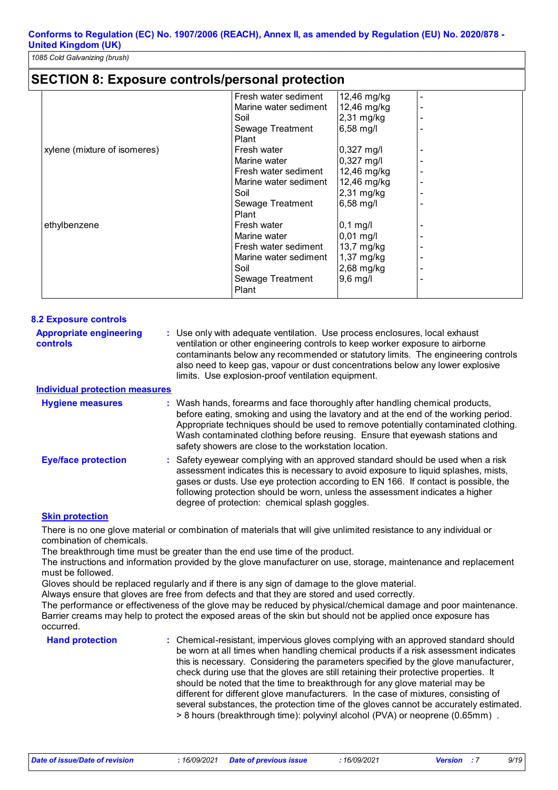## **SECTION 8: Exposure controls/personal protection**

|                              | Fresh water sediment  | 12,46 mg/kg  |  |
|------------------------------|-----------------------|--------------|--|
|                              | Marine water sediment | 12,46 mg/kg  |  |
|                              | Soil                  | $2,31$ mg/kg |  |
|                              | Sewage Treatment      | 6,58 mg/l    |  |
|                              | Plant                 |              |  |
| xylene (mixture of isomeres) | Fresh water           | $0,327$ mg/l |  |
|                              | Marine water          | $0,327$ mg/l |  |
|                              | Fresh water sediment  | 12,46 mg/kg  |  |
|                              | Marine water sediment | 12,46 mg/kg  |  |
|                              | Soil                  | 2,31 mg/kg   |  |
|                              | Sewage Treatment      | 6,58 mg/l    |  |
|                              | Plant                 |              |  |
| ethylbenzene                 | Fresh water           | $0,1$ mg/l   |  |
|                              | Marine water          | $0,01$ mg/l  |  |
|                              | Fresh water sediment  | 13,7 mg/kg   |  |
|                              | Marine water sediment | 1,37 mg/kg   |  |
|                              | Soil                  | 2,68 mg/kg   |  |
|                              | Sewage Treatment      | $9,6$ mg/l   |  |
|                              | Plant                 |              |  |
|                              |                       |              |  |

| <b>8.2 Exposure controls</b>                      |                                                                                                                                                                                                                                                                                                                                                                                                   |
|---------------------------------------------------|---------------------------------------------------------------------------------------------------------------------------------------------------------------------------------------------------------------------------------------------------------------------------------------------------------------------------------------------------------------------------------------------------|
| <b>Appropriate engineering</b><br><b>controls</b> | : Use only with adequate ventilation. Use process enclosures, local exhaust<br>ventilation or other engineering controls to keep worker exposure to airborne<br>contaminants below any recommended or statutory limits. The engineering controls<br>also need to keep gas, vapour or dust concentrations below any lower explosive<br>limits. Use explosion-proof ventilation equipment.          |
| <b>Individual protection measures</b>             |                                                                                                                                                                                                                                                                                                                                                                                                   |
| <b>Hygiene measures</b>                           | : Wash hands, forearms and face thoroughly after handling chemical products,<br>before eating, smoking and using the lavatory and at the end of the working period.<br>Appropriate techniques should be used to remove potentially contaminated clothing.<br>Wash contaminated clothing before reusing. Ensure that eyewash stations and<br>safety showers are close to the workstation location. |
| <b>Eye/face protection</b>                        | : Safety eyewear complying with an approved standard should be used when a risk<br>assessment indicates this is necessary to avoid exposure to liquid splashes, mists,<br>gases or dusts. Use eye protection according to EN 166. If contact is possible, the<br>following protection should be worn, unless the assessment indicates a higher<br>degree of protection: chemical splash goggles.  |

#### **Skin protection**

There is no one glove material or combination of materials that will give unlimited resistance to any individual or combination of chemicals.

The breakthrough time must be greater than the end use time of the product.

The instructions and information provided by the glove manufacturer on use, storage, maintenance and replacement must be followed.

Gloves should be replaced regularly and if there is any sign of damage to the glove material.

Always ensure that gloves are free from defects and that they are stored and used correctly.

The performance or effectiveness of the glove may be reduced by physical/chemical damage and poor maintenance. Barrier creams may help to protect the exposed areas of the skin but should not be applied once exposure has occurred.

**Hand protection** : Chemical-resistant, impervious gloves complying with an approved standard should **Finance** be worn at all times when handling chemical products if a risk assessment indicates this is necessary. Considering the parameters specified by the glove manufacturer, check during use that the gloves are still retaining their protective properties. It should be noted that the time to breakthrough for any glove material may be different for different glove manufacturers. In the case of mixtures, consisting of several substances, the protection time of the gloves cannot be accurately estimated. > 8 hours (breakthrough time): polyvinyl alcohol (PVA) or neoprene (0.65mm) .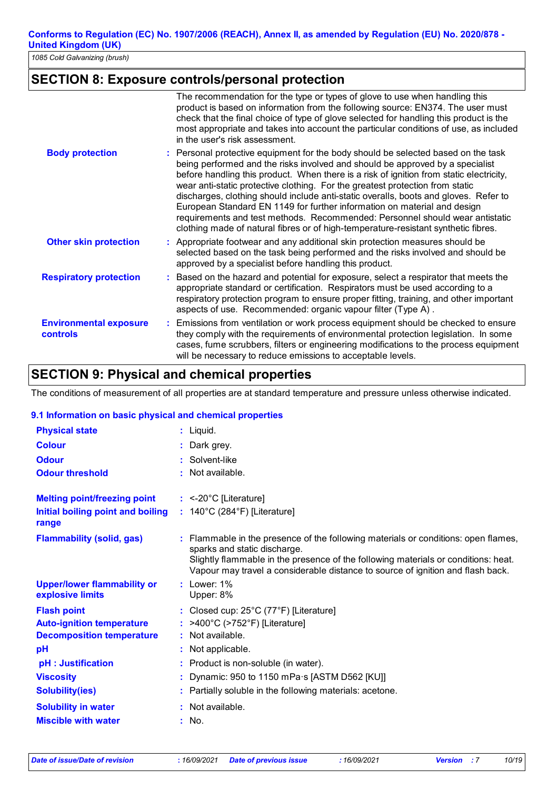## **SECTION 8: Exposure controls/personal protection**

|                                           | The recommendation for the type or types of glove to use when handling this<br>product is based on information from the following source: EN374. The user must<br>check that the final choice of type of glove selected for handling this product is the<br>most appropriate and takes into account the particular conditions of use, as included<br>in the user's risk assessment.                                                                                                                                                                                                                                                                                                      |
|-------------------------------------------|------------------------------------------------------------------------------------------------------------------------------------------------------------------------------------------------------------------------------------------------------------------------------------------------------------------------------------------------------------------------------------------------------------------------------------------------------------------------------------------------------------------------------------------------------------------------------------------------------------------------------------------------------------------------------------------|
| <b>Body protection</b>                    | : Personal protective equipment for the body should be selected based on the task<br>being performed and the risks involved and should be approved by a specialist<br>before handling this product. When there is a risk of ignition from static electricity,<br>wear anti-static protective clothing. For the greatest protection from static<br>discharges, clothing should include anti-static overalls, boots and gloves. Refer to<br>European Standard EN 1149 for further information on material and design<br>requirements and test methods. Recommended: Personnel should wear antistatic<br>clothing made of natural fibres or of high-temperature-resistant synthetic fibres. |
| <b>Other skin protection</b>              | : Appropriate footwear and any additional skin protection measures should be<br>selected based on the task being performed and the risks involved and should be<br>approved by a specialist before handling this product.                                                                                                                                                                                                                                                                                                                                                                                                                                                                |
| <b>Respiratory protection</b>             | : Based on the hazard and potential for exposure, select a respirator that meets the<br>appropriate standard or certification. Respirators must be used according to a<br>respiratory protection program to ensure proper fitting, training, and other important<br>aspects of use. Recommended: organic vapour filter (Type A).                                                                                                                                                                                                                                                                                                                                                         |
| <b>Environmental exposure</b><br>controls | : Emissions from ventilation or work process equipment should be checked to ensure<br>they comply with the requirements of environmental protection legislation. In some<br>cases, fume scrubbers, filters or engineering modifications to the process equipment<br>will be necessary to reduce emissions to acceptable levels.                                                                                                                                                                                                                                                                                                                                                          |

## **SECTION 9: Physical and chemical properties**

The conditions of measurement of all properties are at standard temperature and pressure unless otherwise indicated.

## **9.1 Information on basic physical and chemical properties**

| <b>Physical state</b>                                  | $:$ Liquid.                                                                                                                                                                                                                                                                                 |
|--------------------------------------------------------|---------------------------------------------------------------------------------------------------------------------------------------------------------------------------------------------------------------------------------------------------------------------------------------------|
| <b>Colour</b>                                          | : Dark grey.                                                                                                                                                                                                                                                                                |
| <b>Odour</b>                                           | Solvent-like                                                                                                                                                                                                                                                                                |
| <b>Odour threshold</b>                                 | Not available.                                                                                                                                                                                                                                                                              |
| <b>Melting point/freezing point</b>                    | $:$ <-20°C [Literature]                                                                                                                                                                                                                                                                     |
| Initial boiling point and boiling<br>range             | : $140^{\circ}$ C (284 $^{\circ}$ F) [Literature]                                                                                                                                                                                                                                           |
| <b>Flammability (solid, gas)</b>                       | : Flammable in the presence of the following materials or conditions: open flames,<br>sparks and static discharge.<br>Slightly flammable in the presence of the following materials or conditions: heat.<br>Vapour may travel a considerable distance to source of ignition and flash back. |
| <b>Upper/lower flammability or</b><br>explosive limits | $:$ Lower: $1\%$<br>Upper: 8%                                                                                                                                                                                                                                                               |
| <b>Flash point</b>                                     | : Closed cup: 25°C (77°F) [Literature]                                                                                                                                                                                                                                                      |
| <b>Auto-ignition temperature</b>                       | : >400°C (>752°F) [Literature]                                                                                                                                                                                                                                                              |
| <b>Decomposition temperature</b>                       | $:$ Not available.                                                                                                                                                                                                                                                                          |
| pH                                                     | Not applicable.                                                                                                                                                                                                                                                                             |
| pH : Justification                                     | Product is non-soluble (in water).                                                                                                                                                                                                                                                          |
| <b>Viscosity</b>                                       | Dynamic: 950 to 1150 mPa s [ASTM D562 [KU]]                                                                                                                                                                                                                                                 |
| <b>Solubility(ies)</b>                                 | Partially soluble in the following materials: acetone.                                                                                                                                                                                                                                      |
| <b>Solubility in water</b>                             | $:$ Not available.                                                                                                                                                                                                                                                                          |
| <b>Miscible with water</b>                             | : No.                                                                                                                                                                                                                                                                                       |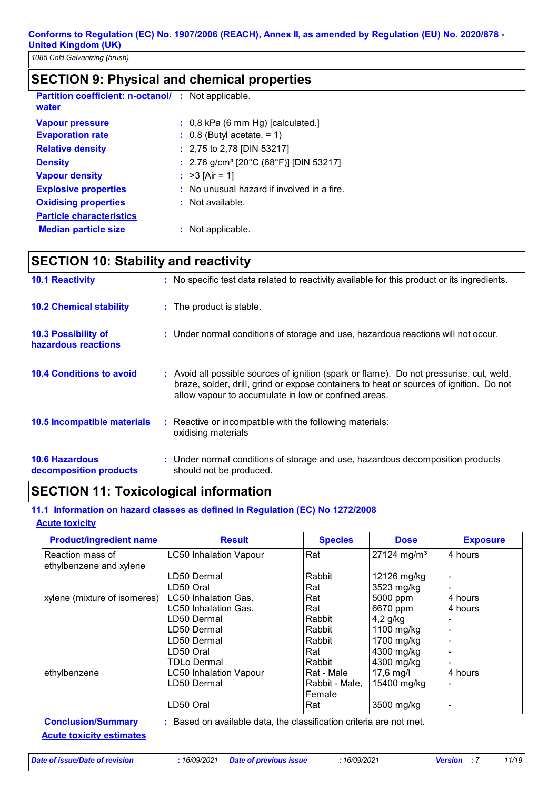*1085 Cold Galvanizing (brush)*

# **SECTION 9: Physical and chemical properties**

| <b>Partition coefficient: n-octanol/ : Not applicable.</b><br>water |                                                                                       |
|---------------------------------------------------------------------|---------------------------------------------------------------------------------------|
| <b>Vapour pressure</b><br><b>Evaporation rate</b>                   | $\therefore$ 0,8 kPa (6 mm Hg) [calculated.]<br>$\therefore$ 0,8 (Butyl acetate. = 1) |
| <b>Relative density</b>                                             | : 2,75 to 2,78 [DIN 53217]                                                            |
| <b>Density</b>                                                      | : 2,76 g/cm <sup>3</sup> [20°C (68°F)] [DIN 53217]                                    |
| <b>Vapour density</b>                                               | : $>3$ [Air = 1]                                                                      |
| <b>Explosive properties</b>                                         | : No unusual hazard if involved in a fire.                                            |
| <b>Oxidising properties</b>                                         | $:$ Not available.                                                                    |
| <b>Particle characteristics</b>                                     |                                                                                       |
| <b>Median particle size</b>                                         | : Not applicable.                                                                     |

# **SECTION 10: Stability and reactivity**

| <b>10.1 Reactivity</b>                            | : No specific test data related to reactivity available for this product or its ingredients.                                                                                                                                                |
|---------------------------------------------------|---------------------------------------------------------------------------------------------------------------------------------------------------------------------------------------------------------------------------------------------|
| <b>10.2 Chemical stability</b>                    | : The product is stable.                                                                                                                                                                                                                    |
| <b>10.3 Possibility of</b><br>hazardous reactions | : Under normal conditions of storage and use, hazardous reactions will not occur.                                                                                                                                                           |
| <b>10.4 Conditions to avoid</b>                   | : Avoid all possible sources of ignition (spark or flame). Do not pressurise, cut, weld,<br>braze, solder, drill, grind or expose containers to heat or sources of ignition. Do not<br>allow vapour to accumulate in low or confined areas. |
| 10.5 Incompatible materials                       | : Reactive or incompatible with the following materials:<br>oxidising materials                                                                                                                                                             |
| <b>10.6 Hazardous</b><br>decomposition products   | : Under normal conditions of storage and use, hazardous decomposition products<br>should not be produced.                                                                                                                                   |

## **SECTION 11: Toxicological information**

## **11.1 Information on hazard classes as defined in Regulation (EC) No 1272/2008**

#### **Acute toxicity**

| <b>Product/ingredient name</b> | <b>Result</b>                                                       | <b>Species</b> | <b>Dose</b>               | <b>Exposure</b>          |
|--------------------------------|---------------------------------------------------------------------|----------------|---------------------------|--------------------------|
| Reaction mass of               | <b>LC50 Inhalation Vapour</b>                                       | Rat            | $27124$ mg/m <sup>3</sup> | 4 hours                  |
| ethylbenzene and xylene        |                                                                     |                |                           |                          |
|                                | LD50 Dermal                                                         | Rabbit         | 12126 mg/kg               |                          |
|                                | LD50 Oral                                                           | Rat            | 3523 mg/kg                |                          |
| xylene (mixture of isomeres)   | LC50 Inhalation Gas.                                                | Rat            | 5000 ppm                  | 4 hours                  |
|                                | LC50 Inhalation Gas.                                                | Rat            | 6670 ppm                  | 4 hours                  |
|                                | LD50 Dermal                                                         | Rabbit         | $4,2$ g/kg                |                          |
|                                | LD50 Dermal                                                         | Rabbit         | 1100 mg/kg                |                          |
|                                | LD50 Dermal                                                         | Rabbit         | 1700 mg/kg                |                          |
|                                | LD50 Oral                                                           | Rat            | 4300 mg/kg                |                          |
|                                | TDLo Dermal                                                         | Rabbit         | 4300 mg/kg                |                          |
| ethylbenzene                   | <b>LC50 Inhalation Vapour</b>                                       | Rat - Male     | $17,6$ mg/l               | 4 hours                  |
|                                | LD50 Dermal                                                         | Rabbit - Male, | 15400 mg/kg               |                          |
|                                |                                                                     | Female         |                           |                          |
|                                | LD50 Oral                                                           | Rat            | 3500 mg/kg                | $\overline{\phantom{a}}$ |
| <b>Conclusion/Summary</b>      | : Based on available data, the classification criteria are not met. |                |                           |                          |

**Acute toxicity estimates**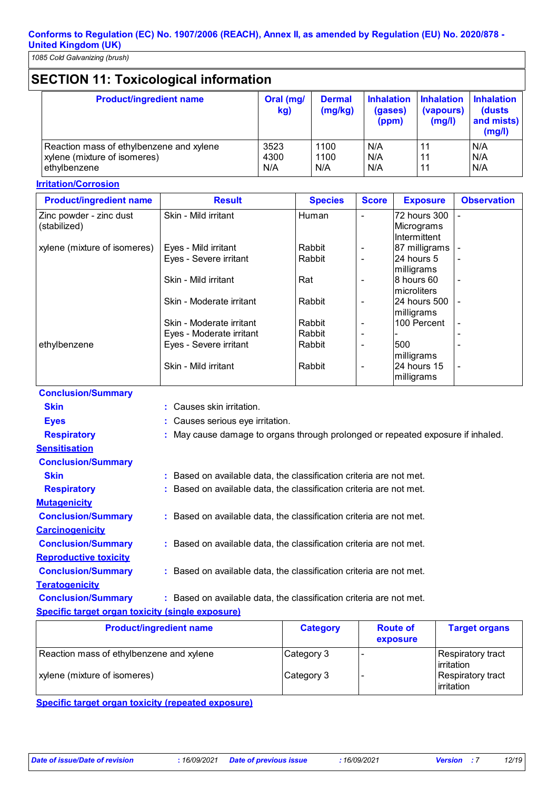# **SECTION 11: Toxicological information**

| <b>Product/ingredient name</b>           | Oral (mg/<br>kg) | <b>Dermal</b><br>(mg/kg) | <b>Inhalation</b><br>(gases)<br>(ppm) | <b>Inhalation</b><br>(vapours)<br>(mg/l) | <b>Inhalation</b><br>(dusts)<br>and mists)<br>(mg/l) |
|------------------------------------------|------------------|--------------------------|---------------------------------------|------------------------------------------|------------------------------------------------------|
| Reaction mass of ethylbenzene and xylene | 3523             | 1100                     | N/A                                   |                                          | N/A                                                  |
| xylene (mixture of isomeres)             | 4300             | 1100                     | N/A                                   |                                          | N/A                                                  |
| ethylbenzene                             | N/A              | N/A                      | N/A                                   |                                          | N/A                                                  |

## **Irritation/Corrosion**

| <b>Product/ingredient name</b> | <b>Result</b>            | <b>Species</b> | <b>Score</b> | <b>Exposure</b> | <b>Observation</b>       |
|--------------------------------|--------------------------|----------------|--------------|-----------------|--------------------------|
| Zinc powder - zinc dust        | Skin - Mild irritant     | Human          |              | 72 hours 300    |                          |
| (stabilized)                   |                          |                |              | Micrograms      |                          |
|                                |                          |                |              | Intermittent    |                          |
| xylene (mixture of isomeres)   | Eyes - Mild irritant     | Rabbit         |              | 87 milligrams   |                          |
|                                | Eyes - Severe irritant   | Rabbit         |              | 24 hours 5      |                          |
|                                |                          |                |              | milligrams      |                          |
|                                | Skin - Mild irritant     | Rat            |              | 8 hours 60      |                          |
|                                |                          |                |              | microliters     |                          |
|                                | Skin - Moderate irritant | Rabbit         |              | 24 hours 500    |                          |
|                                |                          |                |              | milligrams      |                          |
|                                | Skin - Moderate irritant | Rabbit         |              | 100 Percent     | $\overline{\phantom{a}}$ |
|                                | Eyes - Moderate irritant | Rabbit         |              |                 |                          |
| ethylbenzene                   | Eyes - Severe irritant   | Rabbit         |              | 500             |                          |
|                                |                          |                |              | milligrams      |                          |
|                                | Skin - Mild irritant     | Rabbit         |              | 24 hours 15     | $\overline{\phantom{a}}$ |
|                                |                          |                |              | milligrams      |                          |

| CONCIUSION SUMMIT ST                                    |                                                                                 |
|---------------------------------------------------------|---------------------------------------------------------------------------------|
| <b>Skin</b>                                             | : Causes skin irritation.                                                       |
| <b>Eyes</b>                                             | : Causes serious eye irritation.                                                |
| <b>Respiratory</b>                                      | : May cause damage to organs through prolonged or repeated exposure if inhaled. |
| <b>Sensitisation</b>                                    |                                                                                 |
| <b>Conclusion/Summary</b>                               |                                                                                 |
| <b>Skin</b>                                             | : Based on available data, the classification criteria are not met.             |
| <b>Respiratory</b>                                      | Based on available data, the classification criteria are not met.               |
| <b>Mutagenicity</b>                                     |                                                                                 |
| <b>Conclusion/Summary</b>                               | : Based on available data, the classification criteria are not met.             |
| <b>Carcinogenicity</b>                                  |                                                                                 |
| <b>Conclusion/Summary</b>                               | : Based on available data, the classification criteria are not met.             |
| <b>Reproductive toxicity</b>                            |                                                                                 |
| <b>Conclusion/Summary</b>                               | : Based on available data, the classification criteria are not met.             |
| <b>Teratogenicity</b>                                   |                                                                                 |
| <b>Conclusion/Summary</b>                               | : Based on available data, the classification criteria are not met.             |
| <b>Specific target organ toxicity (single exposure)</b> |                                                                                 |

| <b>Product/ingredient name</b>           | <b>Category</b> | <b>Route of</b><br>exposure | <b>Target organs</b>                    |
|------------------------------------------|-----------------|-----------------------------|-----------------------------------------|
| Reaction mass of ethylbenzene and xylene | Category 3      |                             | <b>Respiratory tract</b><br>lirritation |
| xylene (mixture of isomeres)             | Category 3      |                             | Respiratory tract<br>lirritation        |

**Specific target organ toxicity (repeated exposure)**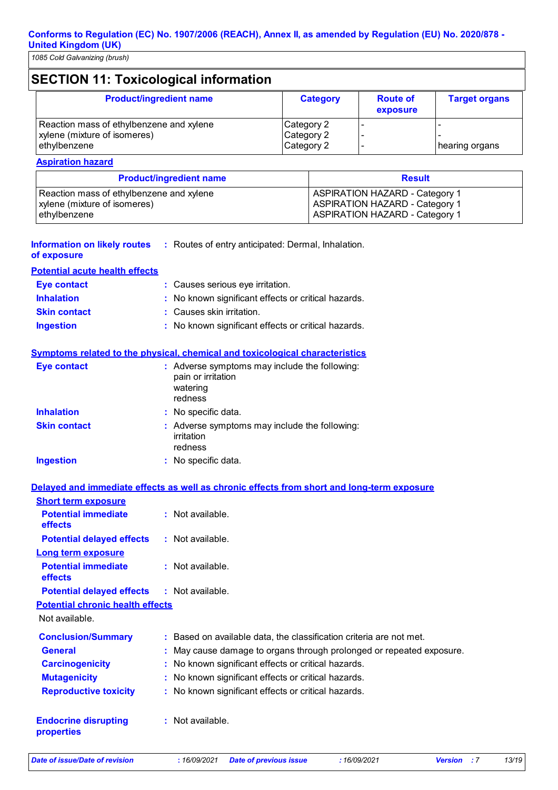# **SECTION 11: Toxicological information**

| <b>Product/ingredient name</b>                                                           | <b>Category</b>                        | <b>Route of</b><br>exposure | <b>Target organs</b> |
|------------------------------------------------------------------------------------------|----------------------------------------|-----------------------------|----------------------|
| Reaction mass of ethylbenzene and xylene<br>xylene (mixture of isomeres)<br>ethylbenzene | Category 2<br>Category 2<br>Category 2 |                             | hearing organs       |

## **Aspiration hazard**

| <b>Product/ingredient name</b>           | <b>Result</b>                         |
|------------------------------------------|---------------------------------------|
| Reaction mass of ethylbenzene and xylene | <b>ASPIRATION HAZARD - Category 1</b> |
| xylene (mixture of isomeres)             | <b>ASPIRATION HAZARD - Category 1</b> |
| ethylbenzene                             | <b>ASPIRATION HAZARD - Category 1</b> |

#### Routes of entry anticipated: Dermal, Inhalation. **: Information on likely routes**

|  | of exposure |  |
|--|-------------|--|
|--|-------------|--|

| <b>Potential acute health effects</b> |                                                     |
|---------------------------------------|-----------------------------------------------------|
| Eye contact                           | : Causes serious eye irritation.                    |
| <b>Inhalation</b>                     | : No known significant effects or critical hazards. |
| <b>Skin contact</b>                   | : Causes skin irritation.                           |
| <b>Ingestion</b>                      | : No known significant effects or critical hazards. |
|                                       |                                                     |

## **Symptoms related to the physical, chemical and toxicological characteristics**

| <b>Eye contact</b>  | : Adverse symptoms may include the following:<br>pain or irritation<br>watering<br>redness |
|---------------------|--------------------------------------------------------------------------------------------|
| <b>Inhalation</b>   | : No specific data.                                                                        |
| <b>Skin contact</b> | : Adverse symptoms may include the following:<br>irritation<br>redness                     |
| <b>Ingestion</b>    | : No specific data.                                                                        |

## **Delayed and immediate effects as well as chronic effects from short and long-term exposure**

| <b>Short term exposure</b>                |                                                                      |
|-------------------------------------------|----------------------------------------------------------------------|
| <b>Potential immediate</b><br>effects     | $:$ Not available.                                                   |
| <b>Potential delayed effects</b>          | $:$ Not available.                                                   |
| Long term exposure                        |                                                                      |
| <b>Potential immediate</b><br>effects     | $:$ Not available.                                                   |
| <b>Potential delayed effects</b>          | $:$ Not available.                                                   |
| <b>Potential chronic health effects</b>   |                                                                      |
| Not available.                            |                                                                      |
| <b>Conclusion/Summary</b>                 | : Based on available data, the classification criteria are not met.  |
| <b>General</b>                            | : May cause damage to organs through prolonged or repeated exposure. |
| <b>Carcinogenicity</b>                    | : No known significant effects or critical hazards.                  |
| <b>Mutagenicity</b>                       | : No known significant effects or critical hazards.                  |
| <b>Reproductive toxicity</b>              | : No known significant effects or critical hazards.                  |
| <b>Endocrine disrupting</b><br>properties | $:$ Not available.                                                   |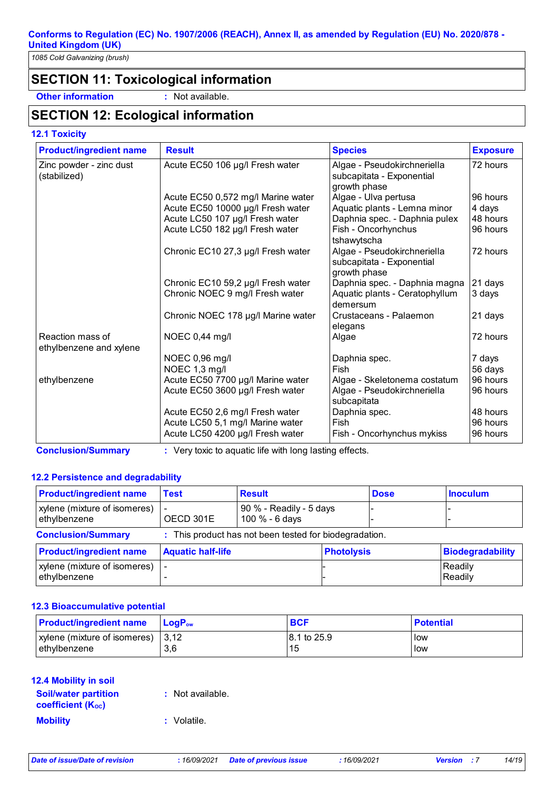*1085 Cold Galvanizing (brush)*

## **SECTION 11: Toxicological information**

**Other information :** Not available.

## **SECTION 12: Ecological information**

**12.1 Toxicity**

| <b>Product/ingredient name</b>              | <b>Result</b>                                                         | <b>Species</b>                                                              | <b>Exposure</b>   |
|---------------------------------------------|-----------------------------------------------------------------------|-----------------------------------------------------------------------------|-------------------|
| Zinc powder - zinc dust<br>(stabilized)     | Acute EC50 106 µg/l Fresh water                                       | Algae - Pseudokirchneriella<br>subcapitata - Exponential<br>growth phase    | 72 hours          |
|                                             | Acute EC50 0,572 mg/l Marine water                                    | Algae - Ulva pertusa                                                        | 96 hours          |
|                                             | Acute EC50 10000 µg/l Fresh water                                     | Aquatic plants - Lemna minor                                                | 4 days            |
|                                             | Acute LC50 107 µg/l Fresh water                                       | Daphnia spec. - Daphnia pulex                                               | 48 hours          |
|                                             | Acute LC50 182 µg/l Fresh water                                       | Fish - Oncorhynchus<br>tshawytscha                                          | 96 hours          |
|                                             | Chronic EC10 27,3 µg/l Fresh water                                    | Algae - Pseudokirchneriella<br>subcapitata - Exponential<br>growth phase    | 72 hours          |
|                                             | Chronic EC10 59,2 µg/l Fresh water<br>Chronic NOEC 9 mg/l Fresh water | Daphnia spec. - Daphnia magna<br>Aquatic plants - Ceratophyllum<br>demersum | 21 days<br>3 days |
|                                             | Chronic NOEC 178 µg/l Marine water                                    | Crustaceans - Palaemon<br>elegans                                           | 21 days           |
| Reaction mass of<br>ethylbenzene and xylene | NOEC 0,44 mg/l                                                        | Algae                                                                       | 72 hours          |
|                                             | NOEC 0,96 mg/l                                                        | Daphnia spec.                                                               | 7 days            |
|                                             | NOEC 1,3 mg/l                                                         | Fish                                                                        | 56 days           |
| ethylbenzene                                | Acute EC50 7700 µg/l Marine water                                     | Algae - Skeletonema costatum                                                | 96 hours          |
|                                             | Acute EC50 3600 µg/l Fresh water                                      | Algae - Pseudokirchneriella<br>subcapitata                                  | 96 hours          |
|                                             | Acute EC50 2,6 mg/l Fresh water                                       | Daphnia spec.                                                               | 48 hours          |
|                                             | Acute LC50 5,1 mg/l Marine water                                      | Fish                                                                        | 96 hours          |
|                                             | Acute LC50 4200 µg/l Fresh water                                      | Fish - Oncorhynchus mykiss                                                  | 96 hours          |

**Conclusion/Summary :** Very toxic to aquatic life with long lasting effects.

## **12.2 Persistence and degradability**

| <b>Product/ingredient name</b>               | <b>Test</b>              | <b>Result</b>                                          |                   | <b>Dose</b> | <b>Inoculum</b>         |
|----------------------------------------------|--------------------------|--------------------------------------------------------|-------------------|-------------|-------------------------|
| xylene (mixture of isomeres)<br>ethylbenzene | OECD 301E                | 90 % - Readily - 5 days<br>100 % - 6 days              |                   |             |                         |
| <b>Conclusion/Summary</b>                    |                          | : This product has not been tested for biodegradation. |                   |             |                         |
| <b>Product/ingredient name</b>               | <b>Aquatic half-life</b> |                                                        | <b>Photolysis</b> |             | <b>Biodegradability</b> |
| xylene (mixture of isomeres)<br>ethylbenzene |                          |                                                        |                   |             | Readily<br>Readily      |

#### **12.3 Bioaccumulative potential**

| <b>Product/ingredient name</b> | $\mathsf{LogP}_\mathsf{ow}$ | <b>BCF</b>  | <b>Potential</b> |
|--------------------------------|-----------------------------|-------------|------------------|
| xylene (mixture of isomeres)   | 13.12                       | 8.1 to 25.9 | llow             |
| ethylbenzene                   | 3,6                         | 115         | llow             |

#### **12.4 Mobility in soil**

| <b>Soil/water partition</b><br><b>coefficient (Koc)</b> | : Not available. |
|---------------------------------------------------------|------------------|
| <b>Mobility</b>                                         | : Volatile.      |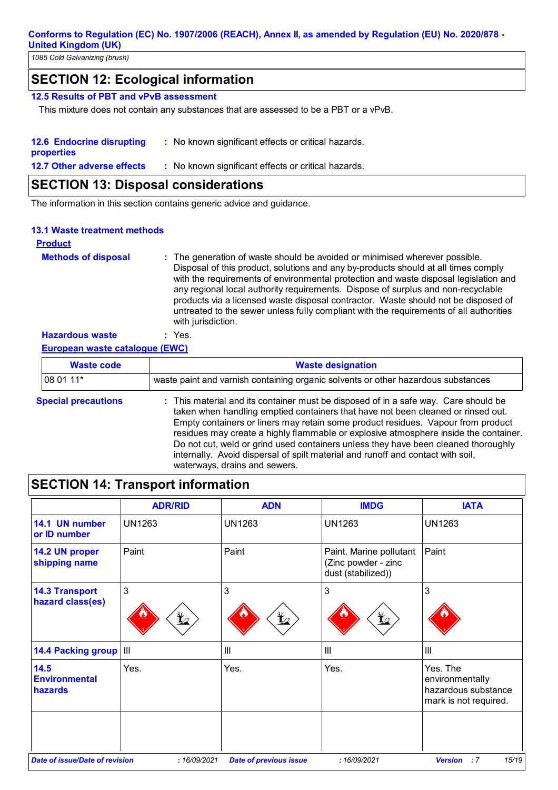*1085 Cold Galvanizing (brush)*

## **SECTION 12: Ecological information**

## **12.5 Results of PBT and vPvB assessment**

This mixture does not contain any substances that are assessed to be a PBT or a vPvB.

| <b>12.6 Endocrine disrupting</b><br>: No known significant effects or critical hazards.<br>properties |                                                     |
|-------------------------------------------------------------------------------------------------------|-----------------------------------------------------|
| <b>12.7 Other adverse effects</b>                                                                     | : No known significant effects or critical hazards. |

## **SECTION 13: Disposal considerations**

The information in this section contains generic advice and guidance.

## **13.1 Waste treatment methods**

## **Product**

| <b>Methods of disposal</b> | : The generation of waste should be avoided or minimised wherever possible.<br>Disposal of this product, solutions and any by-products should at all times comply<br>with the requirements of environmental protection and waste disposal legislation and<br>any regional local authority requirements. Dispose of surplus and non-recyclable<br>products via a licensed waste disposal contractor. Waste should not be disposed of<br>untreated to the sewer unless fully compliant with the requirements of all authorities<br>with jurisdiction. |
|----------------------------|-----------------------------------------------------------------------------------------------------------------------------------------------------------------------------------------------------------------------------------------------------------------------------------------------------------------------------------------------------------------------------------------------------------------------------------------------------------------------------------------------------------------------------------------------------|
| <b>Hazardous waste</b>     | Yes.                                                                                                                                                                                                                                                                                                                                                                                                                                                                                                                                                |

**European waste catalogue (EWC)**

| <b>Waste code</b>          | <b>Waste designation</b>                                                                                                                                                                                                                                                                                                                                                                                                                                                                                                                                      |  |
|----------------------------|---------------------------------------------------------------------------------------------------------------------------------------------------------------------------------------------------------------------------------------------------------------------------------------------------------------------------------------------------------------------------------------------------------------------------------------------------------------------------------------------------------------------------------------------------------------|--|
| 08 01 11*                  | waste paint and varnish containing organic solvents or other hazardous substances                                                                                                                                                                                                                                                                                                                                                                                                                                                                             |  |
| <b>Special precautions</b> | : This material and its container must be disposed of in a safe way. Care should be<br>taken when handling emptied containers that have not been cleaned or rinsed out.<br>Empty containers or liners may retain some product residues. Vapour from product<br>residues may create a highly flammable or explosive atmosphere inside the container.<br>Do not cut, weld or grind used containers unless they have been cleaned thoroughly<br>internally. Avoid dispersal of spilt material and runoff and contact with soil,<br>waterways, drains and sewers. |  |

# **SECTION 14: Transport information**

|                                                | <b>ADR/RID</b>                                                                                   | <b>ADN</b>                    | <b>IMDG</b>                                                          | <b>IATA</b>                                                                 |
|------------------------------------------------|--------------------------------------------------------------------------------------------------|-------------------------------|----------------------------------------------------------------------|-----------------------------------------------------------------------------|
| 14.1 UN number<br>or ID number                 | <b>UN1263</b>                                                                                    | <b>UN1263</b>                 | <b>UN1263</b>                                                        | <b>UN1263</b>                                                               |
| 14.2 UN proper<br>shipping name                | Paint                                                                                            | Paint                         | Paint. Marine pollutant<br>(Zinc powder - zinc<br>dust (stabilized)) | Paint                                                                       |
| <b>14.3 Transport</b><br>hazard class(es)      | 3<br>$\mathbf{\mathbf{\mathbf{\mathbf{\mathbf{\mathbf{\mathbf{\mathbf{\mathbf{\mathbf{Y}}}}}}}}$ | 3<br>$\bigstar$               | 3<br>$\bigstar$                                                      | 3                                                                           |
| 14.4 Packing group   III                       |                                                                                                  | $\mathbf{III}$                | III                                                                  | $\mathbf{III}$                                                              |
| 14.5<br><b>Environmental</b><br><b>hazards</b> | Yes.                                                                                             | Yes.                          | Yes.                                                                 | Yes. The<br>environmentally<br>hazardous substance<br>mark is not required. |
| <b>Date of issue/Date of revision</b>          | : 16/09/2021                                                                                     | <b>Date of previous issue</b> | : 16/09/2021                                                         | 15/19<br><b>Version</b><br>:7                                               |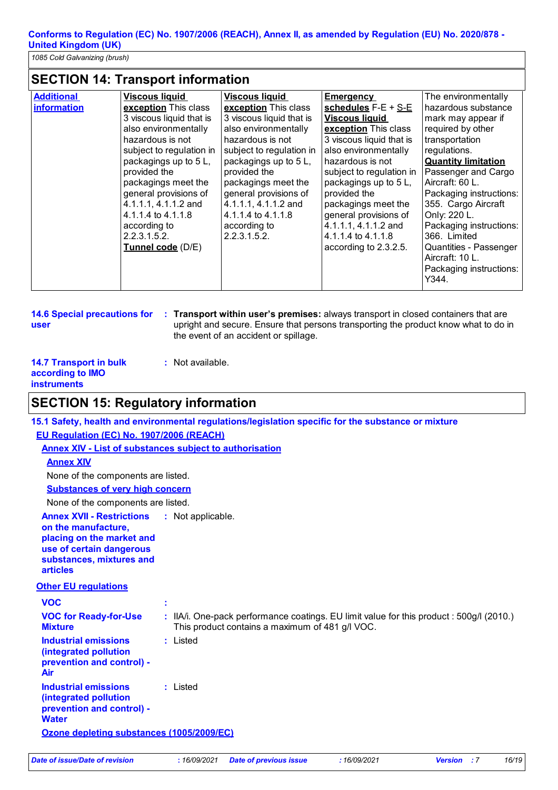*1085 Cold Galvanizing (brush)*

## **SECTION 14: Transport information**

| <b>Additional</b> | <b>Viscous liquid</b>                                                                                                                                                                                                                                                                                                | <b>Viscous liquid</b>                                                                                                                                                                                                                                                                           | <b>Emergency</b>                                                                                                                                                                                                                                                                                                                          | The environmentally                                                                                                                                                                                                                                                                                                                                                    |
|-------------------|----------------------------------------------------------------------------------------------------------------------------------------------------------------------------------------------------------------------------------------------------------------------------------------------------------------------|-------------------------------------------------------------------------------------------------------------------------------------------------------------------------------------------------------------------------------------------------------------------------------------------------|-------------------------------------------------------------------------------------------------------------------------------------------------------------------------------------------------------------------------------------------------------------------------------------------------------------------------------------------|------------------------------------------------------------------------------------------------------------------------------------------------------------------------------------------------------------------------------------------------------------------------------------------------------------------------------------------------------------------------|
| information       | exception This class<br>3 viscous liquid that is<br>also environmentally<br>hazardous is not<br>subject to regulation in<br>packagings up to 5 L,<br>provided the<br>packagings meet the<br>general provisions of<br>4.1.1.1, 4.1.1.2 and<br>4.1.1.4 to 4.1.1.8<br>according to<br>2.2.3.1.5.2.<br>Tunnel code (D/E) | exception This class<br>3 viscous liquid that is<br>also environmentally<br>hazardous is not<br>subject to regulation in<br>packagings up to 5 L,<br>provided the<br>packagings meet the<br>general provisions of<br>4.1.1.1, 4.1.1.2 and<br>4.1.1.4 to 4.1.1.8<br>according to<br>2.2.3.1.5.2. | schedules $F-E + S-E$<br><b>Viscous liquid</b><br>exception This class<br>3 viscous liquid that is<br>also environmentally<br>hazardous is not<br>subject to regulation in<br>packagings up to 5L,<br>provided the<br>packagings meet the<br>general provisions of<br>4.1.1.1, 4.1.1.2 and<br>4.1.1.4 to 4.1.1.8<br>according to 2.3.2.5. | hazardous substance<br>mark may appear if<br>required by other<br>transportation<br>regulations.<br><b>Quantity limitation</b><br>Passenger and Cargo<br>Aircraft: 60 L.<br>Packaging instructions:<br>355. Cargo Aircraft<br>Only: 220 L.<br>Packaging instructions:<br>366. Limited<br>Quantities - Passenger<br>Aircraft: 10 L.<br>Packaging instructions:<br>Y344. |

```
14.6 Special precautions for 
user
```
**Transport within user's premises:** always transport in closed containers that are **:** upright and secure. Ensure that persons transporting the product know what to do in the event of an accident or spillage.

| <b>14.7 Transport in bulk</b> | : Not available. |
|-------------------------------|------------------|
| according to <b>IMO</b>       |                  |
| <b>instruments</b>            |                  |

## **SECTION 15: Regulatory information**

|                                                                                                                                                                 | 15.1 Safety, health and environmental regulations/legislation specific for the substance or mixture                                         |
|-----------------------------------------------------------------------------------------------------------------------------------------------------------------|---------------------------------------------------------------------------------------------------------------------------------------------|
| EU Regulation (EC) No. 1907/2006 (REACH)                                                                                                                        |                                                                                                                                             |
|                                                                                                                                                                 | <b>Annex XIV - List of substances subject to authorisation</b>                                                                              |
| <b>Annex XIV</b>                                                                                                                                                |                                                                                                                                             |
| None of the components are listed.                                                                                                                              |                                                                                                                                             |
| <b>Substances of very high concern</b>                                                                                                                          |                                                                                                                                             |
| None of the components are listed.                                                                                                                              |                                                                                                                                             |
| <b>Annex XVII - Restrictions</b><br>on the manufacture,<br>placing on the market and<br>use of certain dangerous<br>substances, mixtures and<br><b>articles</b> | : Not applicable.                                                                                                                           |
| <b>Other EU regulations</b>                                                                                                                                     |                                                                                                                                             |
| <b>VOC</b>                                                                                                                                                      |                                                                                                                                             |
| <b>VOC for Ready-for-Use</b><br><b>Mixture</b>                                                                                                                  | : IIA/i. One-pack performance coatings. EU limit value for this product : 500g/l (2010.)<br>This product contains a maximum of 481 g/l VOC. |
| <b>Industrial emissions</b><br>(integrated pollution<br>prevention and control) -<br>Air                                                                        | $:$ Listed                                                                                                                                  |
| <b>Industrial emissions</b><br>(integrated pollution<br>prevention and control) -<br><b>Water</b>                                                               | : Listed                                                                                                                                    |
| Ozone depleting substances (1005/2009/EC)                                                                                                                       |                                                                                                                                             |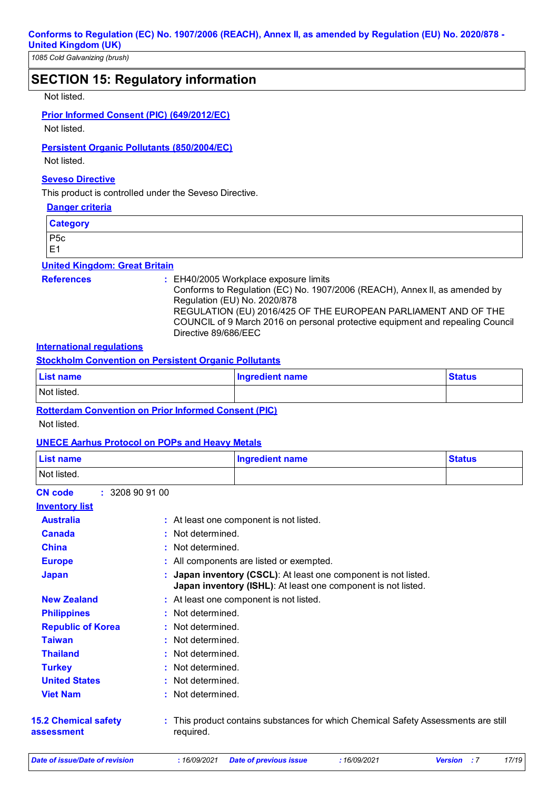*1085 Cold Galvanizing (brush)*

## **SECTION 15: Regulatory information**

#### Not listed.

#### **Prior Informed Consent (PIC) (649/2012/EC)**

Not listed.

#### **Persistent Organic Pollutants (850/2004/EC)**

Not listed.

## **Seveso Directive**

This product is controlled under the Seveso Directive.

#### **Danger criteria**

**Category** P5c E1

#### **United Kingdom: Great Britain**

#### **References :** EH40/2005 Workplace exposure limits

Conforms to Regulation (EC) No. 1907/2006 (REACH), Annex II, as amended by Regulation (EU) No. 2020/878 REGULATION (EU) 2016/425 OF THE EUROPEAN PARLIAMENT AND OF THE

COUNCIL of 9 March 2016 on personal protective equipment and repealing Council Directive 89/686/EEC

## **International regulations**

**Stockholm Convention on Persistent Organic Pollutants**

| <b>List name</b> | Ingredient name | <b>Status</b> |
|------------------|-----------------|---------------|
| Not listed.      |                 |               |
| _____<br>_____   | ________        |               |

## **Rotterdam Convention on Prior Informed Consent (PIC)**

Not listed.

#### **UNECE Aarhus Protocol on POPs and Heavy Metals**

| <b>List name</b><br><b>Ingredient name</b> |                 | <b>Status</b>                                                                                                                  |  |
|--------------------------------------------|-----------------|--------------------------------------------------------------------------------------------------------------------------------|--|
| Not listed.                                |                 |                                                                                                                                |  |
| <b>CN</b> code                             | : 3208909100    |                                                                                                                                |  |
| <b>Inventory list</b>                      |                 |                                                                                                                                |  |
| <b>Australia</b>                           |                 | : At least one component is not listed.                                                                                        |  |
| <b>Canada</b>                              | Not determined. |                                                                                                                                |  |
| <b>China</b>                               | Not determined. |                                                                                                                                |  |
| <b>Europe</b>                              |                 | All components are listed or exempted.                                                                                         |  |
| <b>Japan</b>                               |                 | Japan inventory (CSCL): At least one component is not listed.<br>Japan inventory (ISHL): At least one component is not listed. |  |
| <b>New Zealand</b>                         |                 | : At least one component is not listed.                                                                                        |  |
| <b>Philippines</b>                         |                 | Not determined.                                                                                                                |  |
| <b>Republic of Korea</b>                   |                 | Not determined.                                                                                                                |  |
| <b>Taiwan</b>                              |                 | Not determined.                                                                                                                |  |
| <b>Thailand</b>                            |                 | Not determined.                                                                                                                |  |
| <b>Turkey</b>                              |                 | Not determined.                                                                                                                |  |
| <b>United States</b>                       |                 | Not determined.                                                                                                                |  |
| <b>Viet Nam</b>                            | Not determined. |                                                                                                                                |  |
| <b>15.2 Chemical safety</b><br>assessment  | required.       | : This product contains substances for which Chemical Safety Assessments are still                                             |  |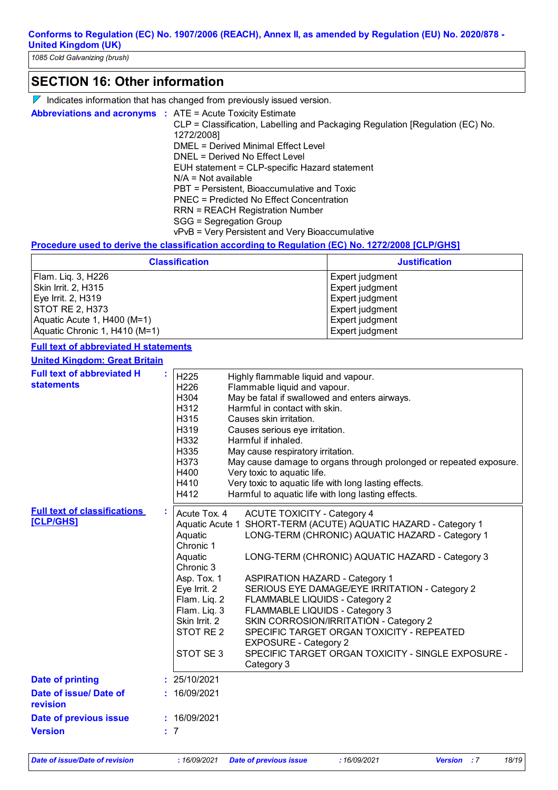## $\nabla$  Indicates information that has changed from previously issued version. **SECTION 16: Other information Abbreviations and acronyms :** ATE = Acute Toxicity Estimate CLP = Classification, Labelling and Packaging Regulation [Regulation (EC) No. 1272/2008] DMEL = Derived Minimal Effect Level DNEL = Derived No Effect Level EUH statement = CLP-specific Hazard statement N/A = Not available PBT = Persistent, Bioaccumulative and Toxic PNEC = Predicted No Effect Concentration RRN = REACH Registration Number SGG = Segregation Group

vPvB = Very Persistent and Very Bioaccumulative

#### **Procedure used to derive the classification according to Regulation (EC) No. 1272/2008 [CLP/GHS]**

| <b>Classification</b>         | <b>Justification</b> |
|-------------------------------|----------------------|
| Flam. Lig. 3, H226            | Expert judgment      |
| Skin Irrit. 2, H315           | Expert judgment      |
| Eye Irrit. 2, H319            | Expert judgment      |
| STOT RE 2, H373               | Expert judgment      |
| Aquatic Acute 1, H400 (M=1)   | Expert judgment      |
| Aquatic Chronic 1, H410 (M=1) | Expert judgment      |

#### **Full text of abbreviated H statements**

| <b>United Kingdom: Great Britain</b>                    |                                                                                                                                                                                  |                                                                                                                                                                                                                                                                                                                                                                                                                                                                                                                                                                      |  |
|---------------------------------------------------------|----------------------------------------------------------------------------------------------------------------------------------------------------------------------------------|----------------------------------------------------------------------------------------------------------------------------------------------------------------------------------------------------------------------------------------------------------------------------------------------------------------------------------------------------------------------------------------------------------------------------------------------------------------------------------------------------------------------------------------------------------------------|--|
| <b>Full text of abbreviated H</b><br><b>statements</b>  | H <sub>225</sub><br>H226<br>H304<br>H312<br>H315<br>H319<br>H332<br>H335<br>H373<br>H400<br>H410<br>H412                                                                         | Highly flammable liquid and vapour.<br>Flammable liquid and vapour.<br>May be fatal if swallowed and enters airways.<br>Harmful in contact with skin.<br>Causes skin irritation.<br>Causes serious eye irritation.<br>Harmful if inhaled.<br>May cause respiratory irritation.<br>May cause damage to organs through prolonged or repeated exposure.<br>Very toxic to aquatic life.<br>Very toxic to aquatic life with long lasting effects.<br>Harmful to aquatic life with long lasting effects.                                                                   |  |
| <b>Full text of classifications</b><br><b>[CLP/GHS]</b> | Acute Tox. 4<br>Aquatic<br>Chronic 1<br>Aquatic<br>Chronic 3<br>Asp. Tox. 1<br>Eye Irrit. 2<br>Flam. Liq. 2<br>Flam. Lig. 3<br>Skin Irrit. 2<br>STOT RE <sub>2</sub><br>STOT SE3 | <b>ACUTE TOXICITY - Category 4</b><br>Aquatic Acute 1 SHORT-TERM (ACUTE) AQUATIC HAZARD - Category 1<br>LONG-TERM (CHRONIC) AQUATIC HAZARD - Category 1<br>LONG-TERM (CHRONIC) AQUATIC HAZARD - Category 3<br><b>ASPIRATION HAZARD - Category 1</b><br>SERIOUS EYE DAMAGE/EYE IRRITATION - Category 2<br>FLAMMABLE LIQUIDS - Category 2<br>FLAMMABLE LIQUIDS - Category 3<br>SKIN CORROSION/IRRITATION - Category 2<br>SPECIFIC TARGET ORGAN TOXICITY - REPEATED<br><b>EXPOSURE - Category 2</b><br>SPECIFIC TARGET ORGAN TOXICITY - SINGLE EXPOSURE -<br>Category 3 |  |
| <b>Date of printing</b>                                 | : 25/10/2021                                                                                                                                                                     |                                                                                                                                                                                                                                                                                                                                                                                                                                                                                                                                                                      |  |
| Date of issue/ Date of<br>revision                      | : 16/09/2021                                                                                                                                                                     |                                                                                                                                                                                                                                                                                                                                                                                                                                                                                                                                                                      |  |
| Date of previous issue                                  | : 16/09/2021                                                                                                                                                                     |                                                                                                                                                                                                                                                                                                                                                                                                                                                                                                                                                                      |  |
| <b>Version</b><br>: 7                                   |                                                                                                                                                                                  |                                                                                                                                                                                                                                                                                                                                                                                                                                                                                                                                                                      |  |

*Date of issue/Date of revision* **:** *16/09/2021 Date of previous issue : 16/09/2021 Version : 7 18/19*